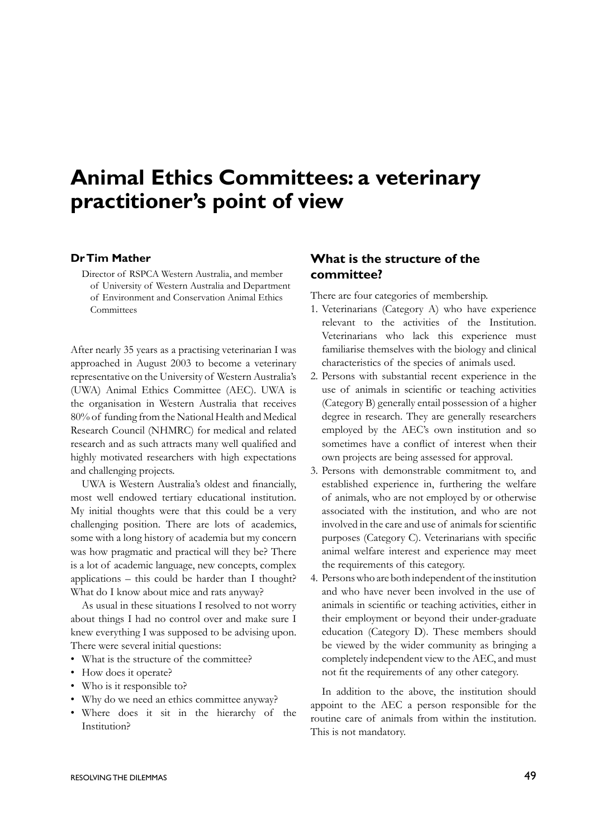# **Animal Ethics Committees: a veterinary practitioner's point of view**

#### **Dr Tim Mather**

Director of RSPCA Western Australia, and member of University of Western Australia and Department of Environment and Conservation Animal Ethics **Committees** 

After nearly 35 years as a practising veterinarian I was approached in August 2003 to become a veterinary representative on the University of Western Australia's (UWA) Animal Ethics Committee (AEC). UWA is the organisation in Western Australia that receives 80% of funding from the National Health and Medical Research Council (NHMRC) for medical and related research and as such attracts many well qualified and highly motivated researchers with high expectations and challenging projects.

UWA is Western Australia's oldest and financially, most well endowed tertiary educational institution. My initial thoughts were that this could be a very challenging position. There are lots of academics, some with a long history of academia but my concern was how pragmatic and practical will they be? There is a lot of academic language, new concepts, complex applications – this could be harder than I thought? What do I know about mice and rats anyway?

As usual in these situations I resolved to not worry about things I had no control over and make sure I knew everything I was supposed to be advising upon. There were several initial questions:

- What is the structure of the committee?
- How does it operate?
- Who is it responsible to?
- Why do we need an ethics committee anyway?
- Where does it sit in the hierarchy of the Institution?

## **What is the structure of the committee?**

There are four categories of membership.

- 1. Veterinarians (Category A) who have experience relevant to the activities of the Institution. Veterinarians who lack this experience must familiarise themselves with the biology and clinical characteristics of the species of animals used.
- 2. Persons with substantial recent experience in the use of animals in scientific or teaching activities (Category B) generally entail possession of a higher degree in research. They are generally researchers employed by the AEC's own institution and so sometimes have a conflict of interest when their own projects are being assessed for approval.
- 3. Persons with demonstrable commitment to, and established experience in, furthering the welfare of animals, who are not employed by or otherwise associated with the institution, and who are not involved in the care and use of animals for scientific purposes (Category C). Veterinarians with specific animal welfare interest and experience may meet the requirements of this category.
- 4. Persons who are both independent of the institution and who have never been involved in the use of animals in scientific or teaching activities, either in their employment or beyond their under-graduate education (Category D). These members should be viewed by the wider community as bringing a completely independent view to the AEC, and must not fit the requirements of any other category.

In addition to the above, the institution should appoint to the AEC a person responsible for the routine care of animals from within the institution. This is not mandatory.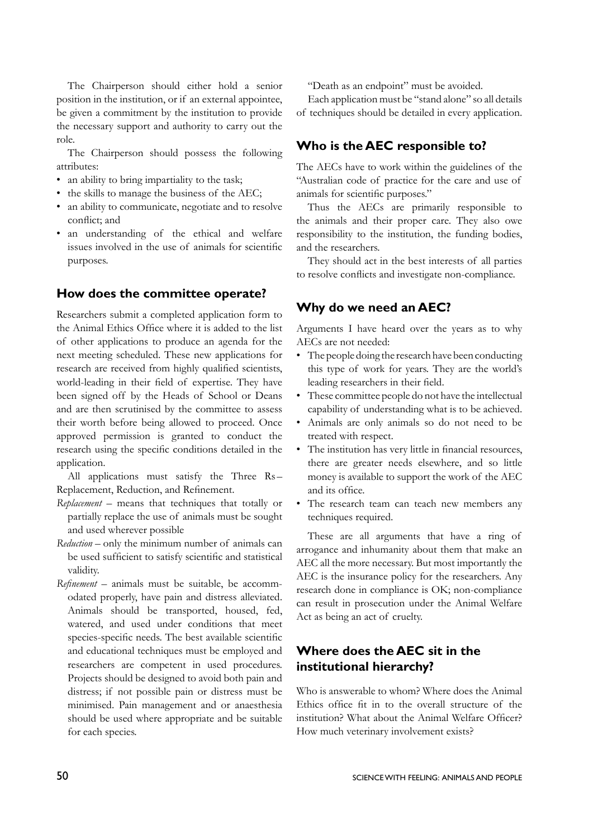The Chairperson should either hold a senior position in the institution, or if an external appointee, be given a commitment by the institution to provide the necessary support and authority to carry out the role.

The Chairperson should possess the following attributes:

- an ability to bring impartiality to the task;
- the skills to manage the business of the AEC;
- an ability to communicate, negotiate and to resolve conflict; and
- an understanding of the ethical and welfare issues involved in the use of animals for scientific purposes.

#### **How does the committee operate?**

Researchers submit a completed application form to the Animal Ethics Office where it is added to the list of other applications to produce an agenda for the next meeting scheduled. These new applications for research are received from highly qualified scientists, world-leading in their field of expertise. They have been signed off by the Heads of School or Deans and are then scrutinised by the committee to assess their worth before being allowed to proceed. Once approved permission is granted to conduct the research using the specific conditions detailed in the application.

All applications must satisfy the Three Rs– Replacement, Reduction, and Refinement.

- *Replacement*  means that techniques that totally or partially replace the use of animals must be sought and used wherever possible
- *Reduction* only the minimum number of animals can be used sufficient to satisfy scientific and statistical validity.
- *Refinement* animals must be suitable, be accommodated properly, have pain and distress alleviated. Animals should be transported, housed, fed, watered, and used under conditions that meet species-specific needs. The best available scientific and educational techniques must be employed and researchers are competent in used procedures. Projects should be designed to avoid both pain and distress; if not possible pain or distress must be minimised. Pain management and or anaesthesia should be used where appropriate and be suitable for each species.

"Death as an endpoint" must be avoided.

Each application must be "stand alone" so all details of techniques should be detailed in every application.

## **Who is the AEC responsible to?**

The AECs have to work within the guidelines of the "Australian code of practice for the care and use of animals for scientific purposes."

Thus the AECs are primarily responsible to the animals and their proper care. They also owe responsibility to the institution, the funding bodies, and the researchers.

They should act in the best interests of all parties to resolve conflicts and investigate non-compliance.

### **Why do we need an AEC?**

Arguments I have heard over the years as to why AECs are not needed:

- The people doing the research have been conducting this type of work for years. They are the world's leading researchers in their field.
- These committee people do not have the intellectual capability of understanding what is to be achieved.
- Animals are only animals so do not need to be treated with respect.
- The institution has very little in financial resources, there are greater needs elsewhere, and so little money is available to support the work of the AEC and its office.
- The research team can teach new members any techniques required.

These are all arguments that have a ring of arrogance and inhumanity about them that make an AEC all the more necessary. But most importantly the AEC is the insurance policy for the researchers. Any research done in compliance is OK; non-compliance can result in prosecution under the Animal Welfare Act as being an act of cruelty.

# **Where does the AEC sit in the institutional hierarchy?**

Who is answerable to whom? Where does the Animal Ethics office fit in to the overall structure of the institution? What about the Animal Welfare Officer? How much veterinary involvement exists?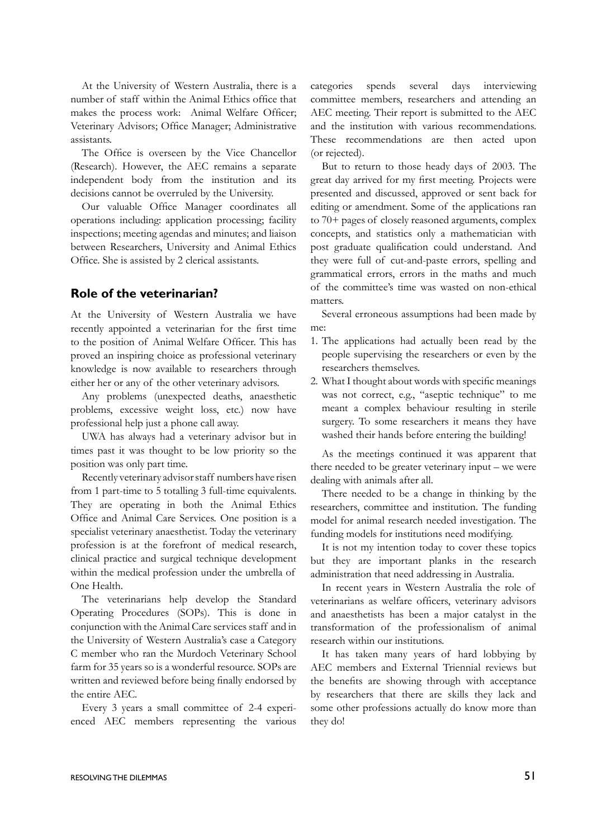At the University of Western Australia, there is a number of staff within the Animal Ethics office that makes the process work: Animal Welfare Officer; Veterinary Advisors; Office Manager; Administrative assistants.

The Office is overseen by the Vice Chancellor (Research). However, the AEC remains a separate independent body from the institution and its decisions cannot be overruled by the University.

Our valuable Office Manager coordinates all operations including: application processing; facility inspections; meeting agendas and minutes; and liaison between Researchers, University and Animal Ethics Office. She is assisted by 2 clerical assistants.

#### **Role of the veterinarian?**

At the University of Western Australia we have recently appointed a veterinarian for the first time to the position of Animal Welfare Officer. This has proved an inspiring choice as professional veterinary knowledge is now available to researchers through either her or any of the other veterinary advisors.

Any problems (unexpected deaths, anaesthetic problems, excessive weight loss, etc.) now have professional help just a phone call away.

UWA has always had a veterinary advisor but in times past it was thought to be low priority so the position was only part time.

Recently veterinary advisor staff numbers have risen from 1 part-time to 5 totalling 3 full-time equivalents. They are operating in both the Animal Ethics Office and Animal Care Services. One position is a specialist veterinary anaesthetist. Today the veterinary profession is at the forefront of medical research, clinical practice and surgical technique development within the medical profession under the umbrella of One Health.

The veterinarians help develop the Standard Operating Procedures (SOPs). This is done in conjunction with the Animal Care services staff and in the University of Western Australia's case a Category C member who ran the Murdoch Veterinary School farm for 35 years so is a wonderful resource. SOPs are written and reviewed before being finally endorsed by the entire AEC.

Every 3 years a small committee of 2-4 experienced AEC members representing the various categories spends several days interviewing committee members, researchers and attending an AEC meeting. Their report is submitted to the AEC and the institution with various recommendations. These recommendations are then acted upon (or rejected).

But to return to those heady days of 2003. The great day arrived for my first meeting. Projects were presented and discussed, approved or sent back for editing or amendment. Some of the applications ran to 70+ pages of closely reasoned arguments, complex concepts, and statistics only a mathematician with post graduate qualification could understand. And they were full of cut-and-paste errors, spelling and grammatical errors, errors in the maths and much of the committee's time was wasted on non-ethical matters.

Several erroneous assumptions had been made by me:

- 1. The applications had actually been read by the people supervising the researchers or even by the researchers themselves.
- 2. What I thought about words with specific meanings was not correct, e.g., "aseptic technique" to me meant a complex behaviour resulting in sterile surgery. To some researchers it means they have washed their hands before entering the building!

As the meetings continued it was apparent that there needed to be greater veterinary input – we were dealing with animals after all.

There needed to be a change in thinking by the researchers, committee and institution. The funding model for animal research needed investigation. The funding models for institutions need modifying.

It is not my intention today to cover these topics but they are important planks in the research administration that need addressing in Australia.

In recent years in Western Australia the role of veterinarians as welfare officers, veterinary advisors and anaesthetists has been a major catalyst in the transformation of the professionalism of animal research within our institutions.

It has taken many years of hard lobbying by AEC members and External Triennial reviews but the benefits are showing through with acceptance by researchers that there are skills they lack and some other professions actually do know more than they do!